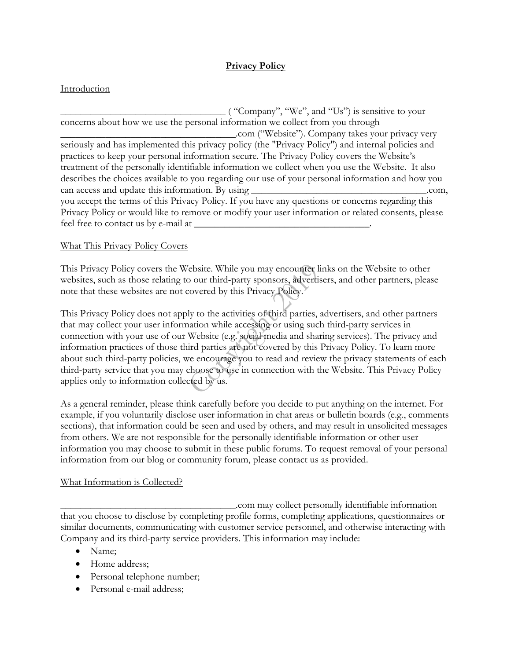# **Privacy Policy**

## Introduction

 $\sim$  ( "Company", "We", and "Us") is sensitive to your concerns about how we use the personal information we collect from you through \_\_\_\_\_\_\_\_\_\_\_\_\_\_\_\_\_\_\_\_\_\_\_\_\_\_\_\_\_\_\_\_\_\_\_.com ("Website"). Company takes your privacy very seriously and has implemented this privacy policy (the "Privacy Policy") and internal policies and practices to keep your personal information secure. The Privacy Policy covers the Website's treatment of the personally identifiable information we collect when you use the Website. It also describes the choices available to you regarding our use of your personal information and how you can access and update this information. By using \_\_\_\_\_\_\_\_\_\_\_\_\_\_\_\_\_\_\_\_\_\_\_\_\_\_\_\_\_\_\_\_\_\_\_.com, you accept the terms of this Privacy Policy. If you have any questions or concerns regarding this Privacy Policy or would like to remove or modify your user information or related consents, please feel free to contact us by e-mail at \_\_\_\_\_\_\_\_\_\_\_\_\_\_\_\_\_\_\_\_\_\_\_\_\_\_\_\_\_\_\_\_\_\_\_.

## What This Privacy Policy Covers

This Privacy Policy covers the Website. While you may encounter links on the Website to other websites, such as those relating to our third-party sponsors, advertisers, and other partners, please note that these websites are not covered by this Privacy Policy.

This Privacy Policy does not apply to the activities of third parties, advertisers, and other partners that may collect your user information while accessing or using such third-party services in connection with your use of our Website (e.g. social media and sharing services). The privacy and information practices of those third parties are not covered by this Privacy Policy. To learn more about such third-party policies, we encourage you to read and review the privacy statements of each third-party service that you may choose to use in connection with the Website. This Privacy Policy applies only to information collected by us.

As a general reminder, please think carefully before you decide to put anything on the internet. For example, if you voluntarily disclose user information in chat areas or bulletin boards (e.g., comments sections), that information could be seen and used by others, and may result in unsolicited messages from others. We are not responsible for the personally identifiable information or other user information you may choose to submit in these public forums. To request removal of your personal information from our blog or community forum, please contact us as provided.

### What Information is Collected?

\_\_\_\_\_\_\_\_\_\_\_\_\_\_\_\_\_\_\_\_\_\_\_\_\_\_\_\_\_\_\_\_\_\_\_.com may collect personally identifiable information that you choose to disclose by completing profile forms, completing applications, questionnaires or similar documents, communicating with customer service personnel, and otherwise interacting with Company and its third-party service providers. This information may include:

- Name;
- Home address;
- Personal telephone number;
- Personal e-mail address;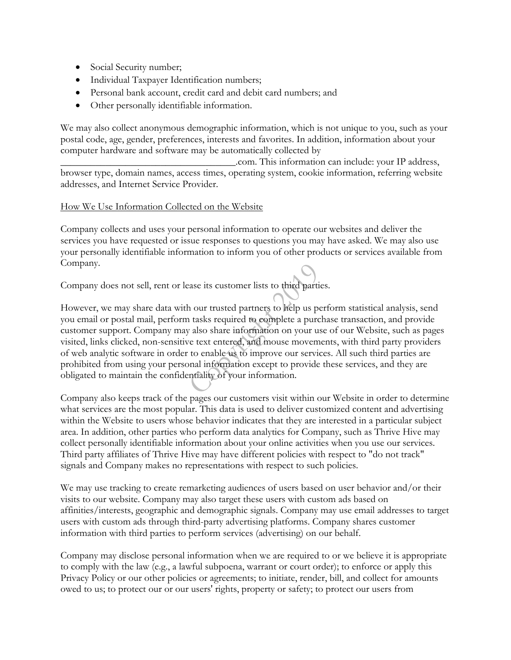- Social Security number;
- Individual Taxpayer Identification numbers;
- Personal bank account, credit card and debit card numbers; and
- Other personally identifiable information.

We may also collect anonymous demographic information, which is not unique to you, such as your postal code, age, gender, preferences, interests and favorites. In addition, information about your computer hardware and software may be automatically collected by

\_\_\_\_\_\_\_\_\_\_\_\_\_\_\_\_\_\_\_\_\_\_\_\_\_\_\_\_\_\_\_\_\_\_\_.com. This information can include: your IP address, browser type, domain names, access times, operating system, cookie information, referring website addresses, and Internet Service Provider.

### How We Use Information Collected on the Website

Company collects and uses your personal information to operate our websites and deliver the services you have requested or issue responses to questions you may have asked. We may also use your personally identifiable information to inform you of other products or services available from Company.

Company does not sell, rent or lease its customer lists to third parties.

However, we may share data with our trusted partners to help us perform statistical analysis, send you email or postal mail, perform tasks required to complete a purchase transaction, and provide customer support. Company may also share information on your use of our Website, such as pages visited, links clicked, non-sensitive text entered, and mouse movements, with third party providers of web analytic software in order to enable us to improve our services. All such third parties are prohibited from using your personal information except to provide these services, and they are obligated to maintain the confidentiality of your information.

Company also keeps track of the pages our customers visit within our Website in order to determine what services are the most popular. This data is used to deliver customized content and advertising within the Website to users whose behavior indicates that they are interested in a particular subject area. In addition, other parties who perform data analytics for Company, such as Thrive Hive may collect personally identifiable information about your online activities when you use our services. Third party affiliates of Thrive Hive may have different policies with respect to "do not track" signals and Company makes no representations with respect to such policies.

We may use tracking to create remarketing audiences of users based on user behavior and/or their visits to our website. Company may also target these users with custom ads based on affinities/interests, geographic and demographic signals. Company may use email addresses to target users with custom ads through third-party advertising platforms. Company shares customer information with third parties to perform services (advertising) on our behalf.

Company may disclose personal information when we are required to or we believe it is appropriate to comply with the law (e.g., a lawful subpoena, warrant or court order); to enforce or apply this Privacy Policy or our other policies or agreements; to initiate, render, bill, and collect for amounts owed to us; to protect our or our users' rights, property or safety; to protect our users from